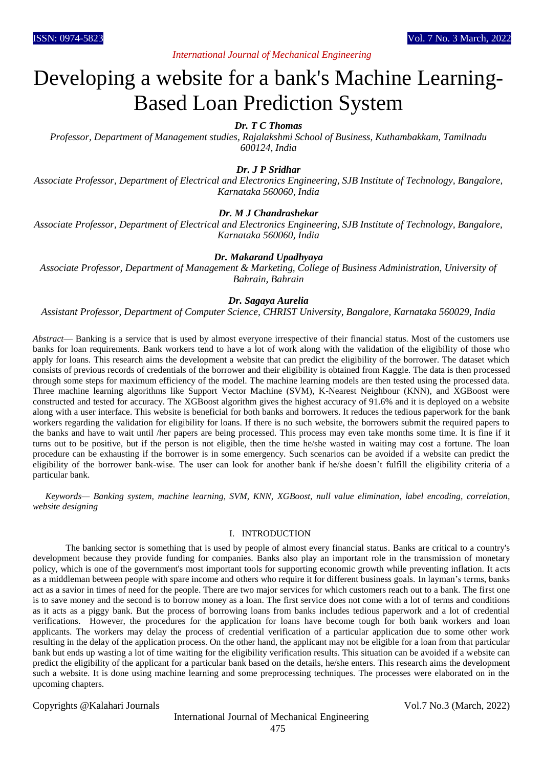# *International Journal of Mechanical Engineering*

# Developing a website for a bank's Machine Learning-Based Loan Prediction System

# *Dr. T C Thomas*

*Professor, Department of Management studies, Rajalakshmi School of Business, Kuthambakkam, Tamilnadu 600124, India*

## *Dr. J P Sridhar*

*Associate Professor, Department of Electrical and Electronics Engineering, SJB Institute of Technology, Bangalore, Karnataka 560060, India*

## *Dr. M J Chandrashekar*

*Associate Professor, Department of Electrical and Electronics Engineering, SJB Institute of Technology, Bangalore, Karnataka 560060, India*

#### *Dr. Makarand Upadhyaya*

*Associate Professor, Department of Management & Marketing, College of Business Administration, University of Bahrain, Bahrain*

## *Dr. Sagaya Aurelia*

*Assistant Professor, Department of Computer Science, CHRIST University, Bangalore, Karnataka 560029, India*

*Abstract*— Banking is a service that is used by almost everyone irrespective of their financial status. Most of the customers use banks for loan requirements. Bank workers tend to have a lot of work along with the validation of the eligibility of those who apply for loans. This research aims the development a website that can predict the eligibility of the borrower. The dataset which consists of previous records of credentials of the borrower and their eligibility is obtained from Kaggle. The data is then processed through some steps for maximum efficiency of the model. The machine learning models are then tested using the processed data. Three machine learning algorithms like Support Vector Machine (SVM), K-Nearest Neighbour (KNN), and XGBoost were constructed and tested for accuracy. The XGBoost algorithm gives the highest accuracy of 91.6% and it is deployed on a website along with a user interface. This website is beneficial for both banks and borrowers. It reduces the tedious paperwork for the bank workers regarding the validation for eligibility for loans. If there is no such website, the borrowers submit the required papers to the banks and have to wait until /her papers are being processed. This process may even take months some time. It is fine if it turns out to be positive, but if the person is not eligible, then the time he/she wasted in waiting may cost a fortune. The loan procedure can be exhausting if the borrower is in some emergency. Such scenarios can be avoided if a website can predict the eligibility of the borrower bank-wise. The user can look for another bank if he/she doesn't fulfill the eligibility criteria of a particular bank.

*Keywords— Banking system, machine learning, SVM, KNN, XGBoost, null value elimination, label encoding, correlation, website designing*

#### I. INTRODUCTION

The banking sector is something that is used by people of almost every financial status. Banks are critical to a country's development because they provide funding for companies. Banks also play an important role in the transmission of monetary policy, which is one of the government's most important tools for supporting economic growth while preventing inflation. It acts as a middleman between people with spare income and others who require it for different business goals. In layman's terms, banks act as a savior in times of need for the people. There are two major services for which customers reach out to a bank. The first one is to save money and the second is to borrow money as a loan. The first service does not come with a lot of terms and conditions as it acts as a piggy bank. But the process of borrowing loans from banks includes tedious paperwork and a lot of credential verifications. However, the procedures for the application for loans have become tough for both bank workers and loan applicants. The workers may delay the process of credential verification of a particular application due to some other work resulting in the delay of the application process. On the other hand, the applicant may not be eligible for a loan from that particular bank but ends up wasting a lot of time waiting for the eligibility verification results. This situation can be avoided if a website can predict the eligibility of the applicant for a particular bank based on the details, he/she enters. This research aims the development such a website. It is done using machine learning and some preprocessing techniques. The processes were elaborated on in the upcoming chapters.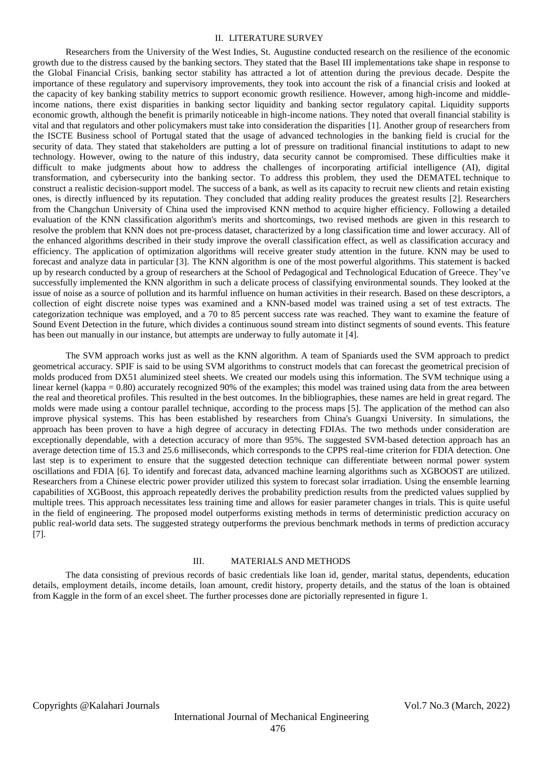#### II. LITERATURE SURVEY

Researchers from the University of the West Indies, St. Augustine conducted research on the resilience of the economic growth due to the distress caused by the banking sectors. They stated that the Basel III implementations take shape in response to the Global Financial Crisis, banking sector stability has attracted a lot of attention during the previous decade. Despite the importance of these regulatory and supervisory improvements, they took into account the risk of a financial crisis and looked at the capacity of key banking stability metrics to support economic growth resilience. However, among high-income and middleincome nations, there exist disparities in banking sector liquidity and banking sector regulatory capital. Liquidity supports economic growth, although the benefit is primarily noticeable in high-income nations. They noted that overall financial stability is vital and that regulators and other policymakers must take into consideration the disparities [1]. Another group of researchers from the ISCTE Business school of Portugal stated that the usage of advanced technologies in the banking field is crucial for the security of data. They stated that stakeholders are putting a lot of pressure on traditional financial institutions to adapt to new technology. However, owing to the nature of this industry, data security cannot be compromised. These difficulties make it difficult to make judgments about how to address the challenges of incorporating artificial intelligence (AI), digital transformation, and cybersecurity into the banking sector. To address this problem, they used the DEMATEL technique to construct a realistic decision-support model. The success of a bank, as well as its capacity to recruit new clients and retain existing ones, is directly influenced by its reputation. They concluded that adding reality produces the greatest results [2]. Researchers from the Changchun University of China used the improvised KNN method to acquire higher efficiency. Following a detailed evaluation of the KNN classification algorithm's merits and shortcomings, two revised methods are given in this research to resolve the problem that KNN does not pre-process dataset, characterized by a long classification time and lower accuracy. All of the enhanced algorithms described in their study improve the overall classification effect, as well as classification accuracy and efficiency. The application of optimization algorithms will receive greater study attention in the future. KNN may be used to forecast and analyze data in particular [3]. The KNN algorithm is one of the most powerful algorithms. This statement is backed up by research conducted by a group of researchers at the School of Pedagogical and Technological Education of Greece. They've successfully implemented the KNN algorithm in such a delicate process of classifying environmental sounds. They looked at the issue of noise as a source of pollution and its harmful influence on human activities in their research. Based on these descriptors, a collection of eight discrete noise types was examined and a KNN-based model was trained using a set of test extracts. The categorization technique was employed, and a 70 to 85 percent success rate was reached. They want to examine the feature of Sound Event Detection in the future, which divides a continuous sound stream into distinct segments of sound events. This feature has been out manually in our instance, but attempts are underway to fully automate it [4].

The SVM approach works just as well as the KNN algorithm. A team of Spaniards used the SVM approach to predict geometrical accuracy. SPIF is said to be using SVM algorithms to construct models that can forecast the geometrical precision of molds produced from DX51 aluminized steel sheets. We created our models using this information. The SVM technique using a linear kernel (kappa = 0.80) accurately recognized 90% of the examples; this model was trained using data from the area between the real and theoretical profiles. This resulted in the best outcomes. In the bibliographies, these names are held in great regard. The molds were made using a contour parallel technique, according to the process maps [5]. The application of the method can also improve physical systems. This has been established by researchers from China's Guangxi University. In simulations, the approach has been proven to have a high degree of accuracy in detecting FDIAs. The two methods under consideration are exceptionally dependable, with a detection accuracy of more than 95%. The suggested SVM-based detection approach has an average detection time of 15.3 and 25.6 milliseconds, which corresponds to the CPPS real-time criterion for FDIA detection. One last step is to experiment to ensure that the suggested detection technique can differentiate between normal power system oscillations and FDIA [6]. To identify and forecast data, advanced machine learning algorithms such as XGBOOST are utilized. Researchers from a Chinese electric power provider utilized this system to forecast solar irradiation. Using the ensemble learning capabilities of XGBoost, this approach repeatedly derives the probability prediction results from the predicted values supplied by multiple trees. This approach necessitates less training time and allows for easier parameter changes in trials. This is quite useful in the field of engineering. The proposed model outperforms existing methods in terms of deterministic prediction accuracy on public real-world data sets. The suggested strategy outperforms the previous benchmark methods in terms of prediction accuracy [7].

## III. MATERIALS AND METHODS

The data consisting of previous records of basic credentials like loan id, gender, marital status, dependents, education details, employment details, income details, loan amount, credit history, property details, and the status of the loan is obtained from Kaggle in the form of an excel sheet. The further processes done are pictorially represented in figure 1.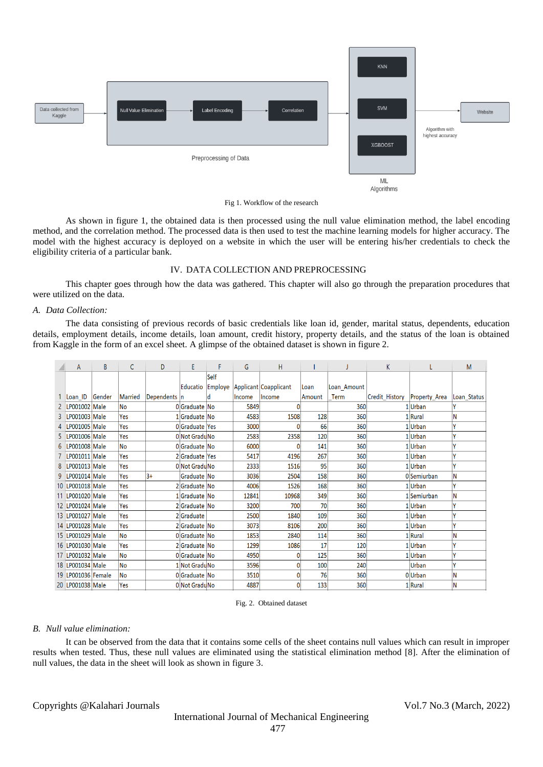

Fig 1. Workflow of the research

As shown in figure 1, the obtained data is then processed using the null value elimination method, the label encoding method, and the correlation method. The processed data is then used to test the machine learning models for higher accuracy. The model with the highest accuracy is deployed on a website in which the user will be entering his/her credentials to check the eligibility criteria of a particular bank.

#### IV. DATA COLLECTION AND PREPROCESSING

This chapter goes through how the data was gathered. This chapter will also go through the preparation procedures that were utilized on the data.

#### *A. Data Collection:*

The data consisting of previous records of basic credentials like loan id, gender, marital status, dependents, education details, employment details, income details, loan amount, credit history, property details, and the status of the loan is obtained from Kaggle in the form of an excel sheet. A glimpse of the obtained dataset is shown in figure 2.

| А                    | B      | С         | D            | E              | F       | G      | H                     |        |             | K              |                      | M           |
|----------------------|--------|-----------|--------------|----------------|---------|--------|-----------------------|--------|-------------|----------------|----------------------|-------------|
|                      |        |           |              |                | Self    |        |                       |        |             |                |                      |             |
|                      |        |           |              | Educatio       | Employe |        | Applicant Coapplicant | Loan   | Loan Amount |                |                      |             |
| Loan ID              | Gender | Married   | Dependents n |                |         | Income | <b>Income</b>         | Amount | Term        | Credit History | <b>Property Area</b> | Loan Status |
| LP001002 Male        |        | <b>No</b> |              | 0Graduate No   |         | 5849   | 0                     |        | 360         |                | 1 Urban              |             |
| LP001003 Male        |        | Yes       |              | 1 Graduate No  |         | 4583   | 1508                  | 128    | 360         |                | 1 Rural              | N           |
| LP001005 Male        |        | Yes       |              | OGraduate Yes  |         | 3000   |                       | 66     | 360         |                | 1 Urban              |             |
| LP001006 Male        |        | Yes       |              | 0 Not GraduNo  |         | 2583   | 2358                  | 120    | 360         |                | 1 Urban              | v           |
| LP001008 Male        |        | <b>No</b> |              | 0Graduate No   |         | 6000   | 0                     | 141    | 360         |                | 1 Urban              |             |
| LP001011 Male        |        | Yes       |              | 2 Graduate Yes |         | 5417   | 4196                  | 267    | 360         |                | 1 Urban              |             |
| LP001013 Male        |        | Yes       |              | 0 Not GraduNo  |         | 2333   | 1516                  | 95     | 360         |                | 1 Urban              | ٧           |
| 9 LP001014 Male      |        | Yes       | $3+$         | Graduate No    |         | 3036   | 2504                  | 158    | 360         |                | 0Semiurban           | N           |
| 10   LP001018   Male |        | Yes       |              | 2 Graduate No  |         | 4006   | 1526                  | 168    | 360         |                | 1 Urban              | v           |
| 11 LP001020 Male     |        | Yes       |              | 1 Graduate No  |         | 12841  | 10968                 | 349    | 360         |                | 1 Semiurban          | N           |
| 12 LP001024 Male     |        | Yes       |              | 2 Graduate No  |         | 3200   | 700                   | 70     | 360         |                | 1 Urban              |             |
| 13 LP001027 Male     |        | Yes       |              | 2Graduate      |         | 2500   | 1840                  | 109    | 360         |                | 1 Urban              | v           |
| 14 LP001028 Male     |        | Yes       |              | 2 Graduate No  |         | 3073   | 8106                  | 200    | 360         |                | 1 Urban              | v           |
| 15 LP001029 Male     |        | <b>No</b> |              | 0 Graduate No  |         | 1853   | 2840                  | 114    | 360         |                | 1 Rural              | N           |
| 16 LP001030 Male     |        | Yes       |              | 2 Graduate No  |         | 1299   | 1086                  | 17     | 120         |                | 1 Urban              | v           |
| 17 LP001032 Male     |        | <b>No</b> |              | 0Graduate No   |         | 4950   | 0                     | 125    | 360         |                | 1 Urban              |             |
| 18 LP001034 Male     |        | <b>No</b> |              | 1 Not GraduNo  |         | 3596   | $\overline{0}$        | 100    | 240         |                | Urban                | v           |
| 19 LP001036 Female   |        | <b>No</b> |              | 0 Graduate No  |         | 3510   | $\mathbf{0}$          | 76     | 360         |                | 0Urban               | N           |
| 20 LP001038 Male     |        | Yes       |              | 0 Not GraduNo  |         | 4887   | $\overline{0}$        | 133    | 360         |                | 1 Rural              | N           |

#### Fig. 2. Obtained dataset

#### *B. Null value elimination:*

It can be observed from the data that it contains some cells of the sheet contains null values which can result in improper results when tested. Thus, these null values are eliminated using the statistical elimination method [8]. After the elimination of null values, the data in the sheet will look as shown in figure 3.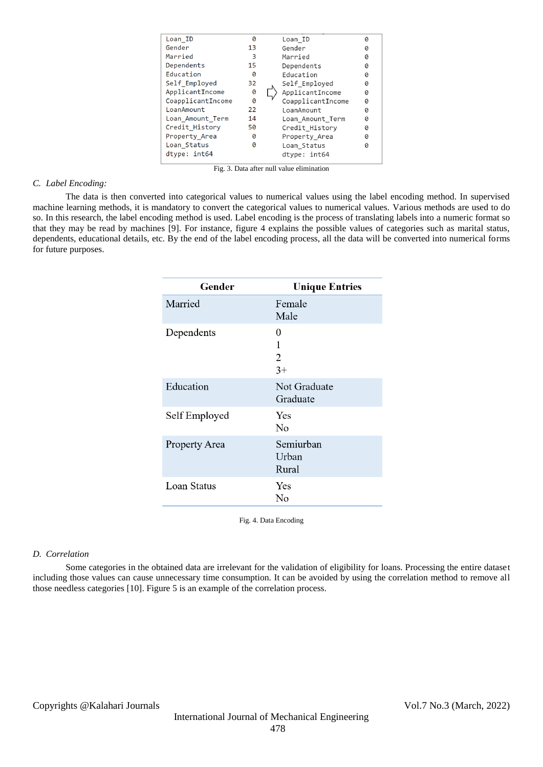| Loan ID           | 0  | Loan ID           | 0 |
|-------------------|----|-------------------|---|
| Gender            | 13 | Gender            | Ø |
| Married           | 3  | Married           | Ø |
| Dependents        | 15 | Dependents        | 0 |
| Education         | 0  | Education         | 0 |
| Self Employed     | 32 | Self Employed     | 0 |
| ApplicantIncome   | ø  | ApplicantIncome   | Ø |
| CoapplicantIncome | 0  | CoapplicantIncome | 0 |
| LoanAmount        | 22 | I canAmount       | Ø |
| Loan Amount Term  | 14 | Loan Amount Term  | 0 |
| Credit History    | 50 | Credit History    | 0 |
| Property Area     | 0  | Property Area     | 0 |
| Loan Status       | 0  | Loan Status       | Ø |
| dtype: int64      |    | dtype: int64      |   |
|                   |    |                   |   |

Fig. 3. Data after null value elimination

#### *C. Label Encoding:*

The data is then converted into categorical values to numerical values using the label encoding method. In supervised machine learning methods, it is mandatory to convert the categorical values to numerical values. Various methods are used to do so. In this research, the label encoding method is used. Label encoding is the process of translating labels into a numeric format so that they may be read by machines [9]. For instance, figure 4 explains the possible values of categories such as marital status, dependents, educational details, etc. By the end of the label encoding process, all the data will be converted into numerical forms for future purposes.

| Gender        | <b>Unique Entries</b>       |
|---------------|-----------------------------|
| Married       | Female<br>Male              |
| Dependents    | 0<br>1<br>2<br>$3+$         |
| Education     | Not Graduate<br>Graduate    |
| Self Employed | Yes<br>No                   |
| Property Area | Semiurban<br>Urban<br>Rural |
| Loan Status   | Yes<br>No                   |

Fig. 4. Data Encoding

#### *D. Correlation*

Some categories in the obtained data are irrelevant for the validation of eligibility for loans. Processing the entire dataset including those values can cause unnecessary time consumption. It can be avoided by using the correlation method to remove all those needless categories [10]. Figure 5 is an example of the correlation process.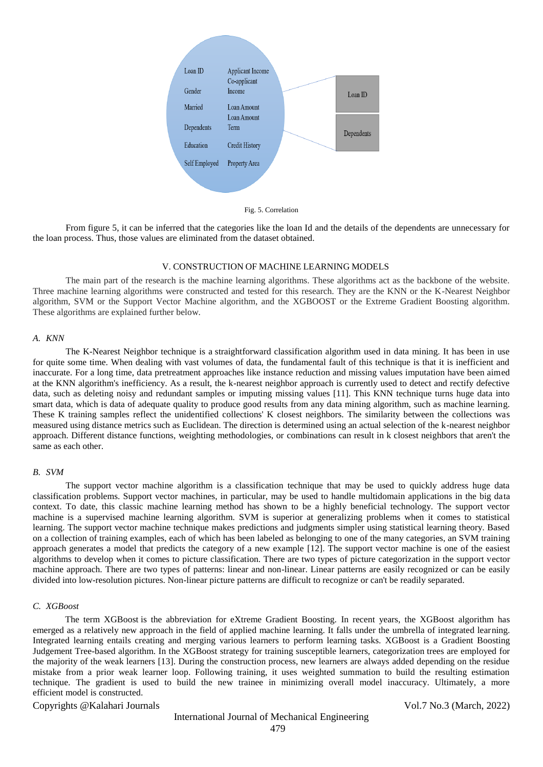

Fig. 5. Correlation

From figure 5, it can be inferred that the categories like the loan Id and the details of the dependents are unnecessary for the loan process. Thus, those values are eliminated from the dataset obtained.

### V. CONSTRUCTION OF MACHINE LEARNING MODELS

The main part of the research is the machine learning algorithms. These algorithms act as the backbone of the website. Three machine learning algorithms were constructed and tested for this research. They are the KNN or the K-Nearest Neighbor algorithm, SVM or the Support Vector Machine algorithm, and the XGBOOST or the Extreme Gradient Boosting algorithm. These algorithms are explained further below.

### *A. KNN*

The K-Nearest Neighbor technique is a straightforward classification algorithm used in data mining. It has been in use for quite some time. When dealing with vast volumes of data, the fundamental fault of this technique is that it is inefficient and inaccurate. For a long time, data pretreatment approaches like instance reduction and missing values imputation have been aimed at the KNN algorithm's inefficiency. As a result, the k-nearest neighbor approach is currently used to detect and rectify defective data, such as deleting noisy and redundant samples or imputing missing values [11]. This KNN technique turns huge data into smart data, which is data of adequate quality to produce good results from any data mining algorithm, such as machine learning. These K training samples reflect the unidentified collections' K closest neighbors. The similarity between the collections was measured using distance metrics such as Euclidean. The direction is determined using an actual selection of the k-nearest neighbor approach. Different distance functions, weighting methodologies, or combinations can result in k closest neighbors that aren't the same as each other.

#### *B. SVM*

The support vector machine algorithm is a classification technique that may be used to quickly address huge data classification problems. Support vector machines, in particular, may be used to handle multidomain applications in the big data context. To date, this classic machine learning method has shown to be a highly beneficial technology. The support vector machine is a supervised machine learning algorithm. SVM is superior at generalizing problems when it comes to statistical learning. The support vector machine technique makes predictions and judgments simpler using statistical learning theory. Based on a collection of training examples, each of which has been labeled as belonging to one of the many categories, an SVM training approach generates a model that predicts the category of a new example [12]. The support vector machine is one of the easiest algorithms to develop when it comes to picture classification. There are two types of picture categorization in the support vector machine approach. There are two types of patterns: linear and non-linear. Linear patterns are easily recognized or can be easily divided into low-resolution pictures. Non-linear picture patterns are difficult to recognize or can't be readily separated.

## *C. XGBoost*

The term XGBoost is the abbreviation for eXtreme Gradient Boosting. In recent years, the XGBoost algorithm has emerged as a relatively new approach in the field of applied machine learning. It falls under the umbrella of integrated learning. Integrated learning entails creating and merging various learners to perform learning tasks. XGBoost is a Gradient Boosting Judgement Tree-based algorithm. In the XGBoost strategy for training susceptible learners, categorization trees are employed for the majority of the weak learners [13]. During the construction process, new learners are always added depending on the residue mistake from a prior weak learner loop. Following training, it uses weighted summation to build the resulting estimation technique. The gradient is used to build the new trainee in minimizing overall model inaccuracy. Ultimately, a more efficient model is constructed.

#### Copyrights @Kalahari Journals Vol.7 No.3 (March, 2022)

# International Journal of Mechanical Engineering

479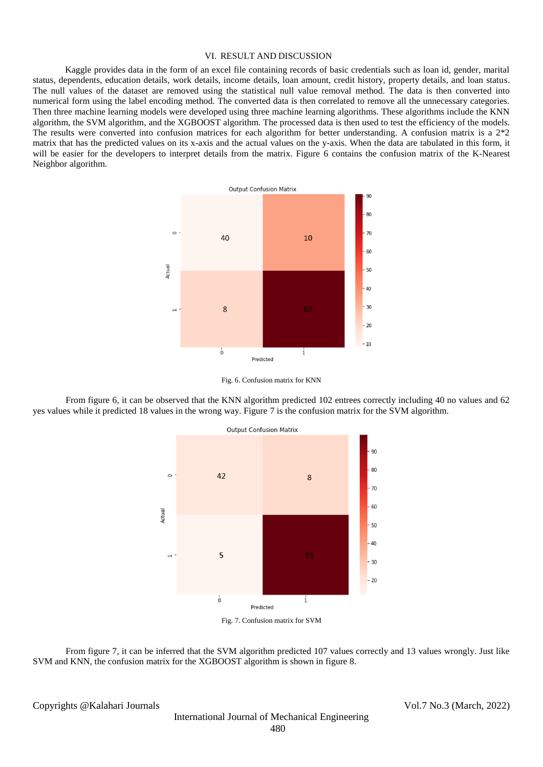### VI. RESULT AND DISCUSSION

Kaggle provides data in the form of an excel file containing records of basic credentials such as loan id, gender, marital status, dependents, education details, work details, income details, loan amount, credit history, property details, and loan status. The null values of the dataset are removed using the statistical null value removal method. The data is then converted into numerical form using the label encoding method. The converted data is then correlated to remove all the unnecessary categories. Then three machine learning models were developed using three machine learning algorithms. These algorithms include the KNN algorithm, the SVM algorithm, and the XGBOOST algorithm. The processed data is then used to test the efficiency of the models. The results were converted into confusion matrices for each algorithm for better understanding. A confusion matrix is a 2\*2 matrix that has the predicted values on its x-axis and the actual values on the y-axis. When the data are tabulated in this form, it will be easier for the developers to interpret details from the matrix. Figure 6 contains the confusion matrix of the K-Nearest Neighbor algorithm.



Fig. 6. Confusion matrix for KNN

From figure 6, it can be observed that the KNN algorithm predicted 102 entrees correctly including 40 no values and 62 yes values while it predicted 18 values in the wrong way. Figure 7 is the confusion matrix for the SVM algorithm.



From figure 7, it can be inferred that the SVM algorithm predicted 107 values correctly and 13 values wrongly. Just like SVM and KNN, the confusion matrix for the XGBOOST algorithm is shown in figure 8.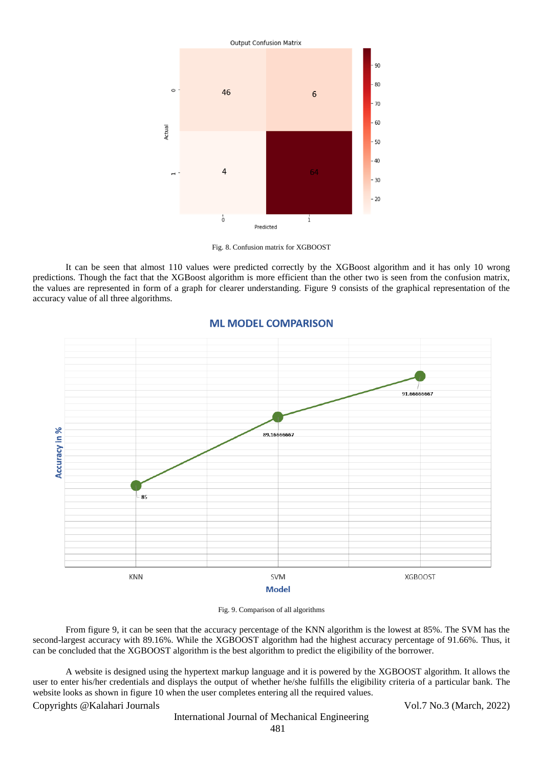

Fig. 8. Confusion matrix for XGBOOST

It can be seen that almost 110 values were predicted correctly by the XGBoost algorithm and it has only 10 wrong predictions. Though the fact that the XGBoost algorithm is more efficient than the other two is seen from the confusion matrix, the values are represented in form of a graph for clearer understanding. Figure 9 consists of the graphical representation of the accuracy value of all three algorithms.



## **ML MODEL COMPARISON**

Fig. 9. Comparison of all algorithms

From figure 9, it can be seen that the accuracy percentage of the KNN algorithm is the lowest at 85%. The SVM has the second-largest accuracy with 89.16%. While the XGBOOST algorithm had the highest accuracy percentage of 91.66%. Thus, it can be concluded that the XGBOOST algorithm is the best algorithm to predict the eligibility of the borrower.

A website is designed using the hypertext markup language and it is powered by the XGBOOST algorithm. It allows the user to enter his/her credentials and displays the output of whether he/she fulfills the eligibility criteria of a particular bank. The website looks as shown in figure 10 when the user completes entering all the required values.

## Copyrights @Kalahari Journals Vol.7 No.3 (March, 2022)

International Journal of Mechanical Engineering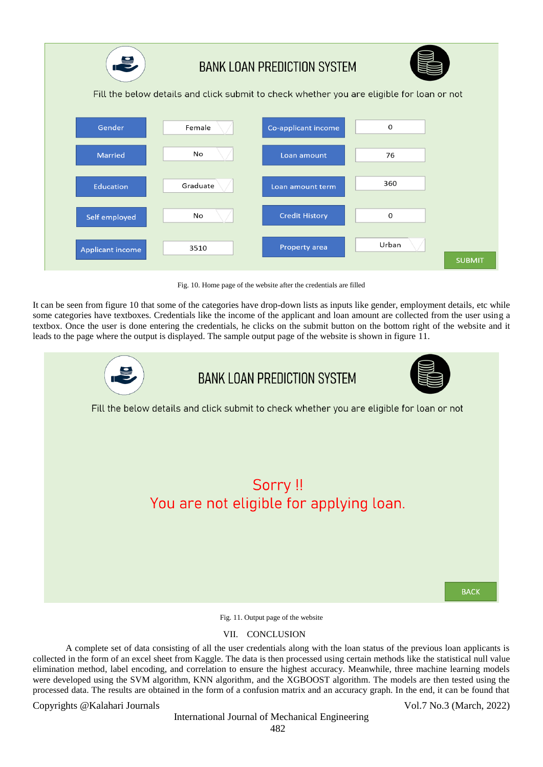

Fig. 10. Home page of the website after the credentials are filled

It can be seen from figure 10 that some of the categories have drop-down lists as inputs like gender, employment details, etc while some categories have textboxes. Credentials like the income of the applicant and loan amount are collected from the user using a textbox. Once the user is done entering the credentials, he clicks on the submit button on the bottom right of the website and it leads to the page where the output is displayed. The sample output page of the website is shown in figure 11.



Fig. 11. Output page of the website

# VII. CONCLUSION

A complete set of data consisting of all the user credentials along with the loan status of the previous loan applicants is collected in the form of an excel sheet from Kaggle. The data is then processed using certain methods like the statistical null value elimination method, label encoding, and correlation to ensure the highest accuracy. Meanwhile, three machine learning models were developed using the SVM algorithm, KNN algorithm, and the XGBOOST algorithm. The models are then tested using the processed data. The results are obtained in the form of a confusion matrix and an accuracy graph. In the end, it can be found that